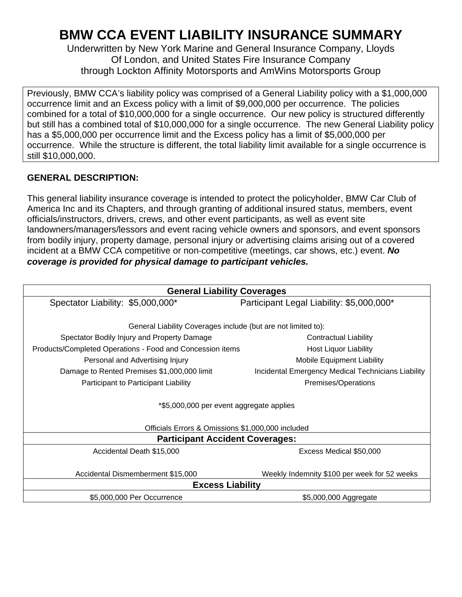## **BMW CCA EVENT LIABILITY INSURANCE SUMMARY**

Underwritten by New York Marine and General Insurance Company, Lloyds Of London, and United States Fire Insurance Company through Lockton Affinity Motorsports and AmWins Motorsports Group

Previously, BMW CCA's liability policy was comprised of a General Liability policy with a \$1,000,000 occurrence limit and an Excess policy with a limit of \$9,000,000 per occurrence. The policies combined for a total of \$10,000,000 for a single occurrence. Our new policy is structured differently but still has a combined total of \$10,000,000 for a single occurrence. The new General Liability policy has a \$5,000,000 per occurrence limit and the Excess policy has a limit of \$5,000,000 per occurrence. While the structure is different, the total liability limit available for a single occurrence is still \$10,000,000.

## **GENERAL DESCRIPTION:**

This general liability insurance coverage is intended to protect the policyholder, BMW Car Club of America Inc and its Chapters, and through granting of additional insured status, members, event officials/instructors, drivers, crews, and other event participants, as well as event site landowners/managers/lessors and event racing vehicle owners and sponsors, and event sponsors from bodily injury, property damage, personal injury or advertising claims arising out of a covered incident at a BMW CCA competitive or non‐competitive (meetings, car shows, etc.) event. *No coverage is provided for physical damage to participant vehicles.* 

| <b>General Liability Coverages</b>                            |                                                    |
|---------------------------------------------------------------|----------------------------------------------------|
| Spectator Liability: \$5,000,000*                             | Participant Legal Liability: \$5,000,000*          |
|                                                               |                                                    |
| General Liability Coverages include (but are not limited to): |                                                    |
| Spectator Bodily Injury and Property Damage                   | <b>Contractual Liability</b>                       |
| Products/Completed Operations - Food and Concession items     | Host Liquor Liability                              |
| Personal and Advertising Injury                               | <b>Mobile Equipment Liability</b>                  |
| Damage to Rented Premises \$1,000,000 limit                   | Incidental Emergency Medical Technicians Liability |
| Participant to Participant Liability                          | Premises/Operations                                |
| *\$5,000,000 per event aggregate applies                      |                                                    |
| Officials Errors & Omissions \$1,000,000 included             |                                                    |
| <b>Participant Accident Coverages:</b>                        |                                                    |
| Accidental Death \$15,000                                     | Excess Medical \$50,000                            |
|                                                               |                                                    |
| Accidental Dismemberment \$15,000                             | Weekly Indemnity \$100 per week for 52 weeks       |
| <b>Excess Liability</b>                                       |                                                    |
| \$5,000,000 Per Occurrence                                    | \$5,000,000 Aggregate                              |